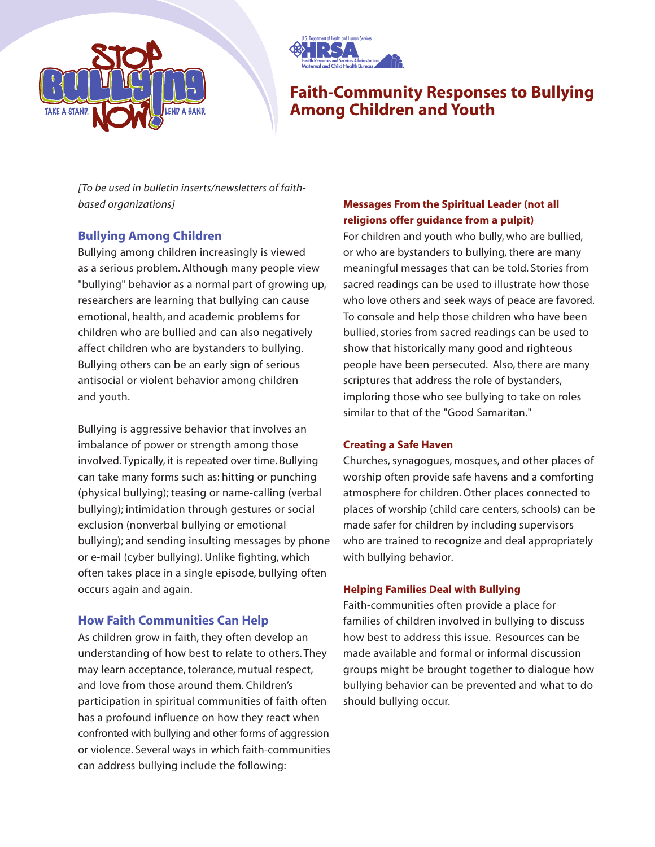



# **Faith-Community Responses to Bullying Among Children and Youth**

*[To be used in bulletin inserts/newsletters of faithbased organizations]*

# **Bullying Among Children**

Bullying among children increasingly is viewed as a serious problem. Although many people view "bullying" behavior as a normal part of growing up, researchers are learning that bullying can cause emotional, health, and academic problems for children who are bullied and can also negatively affect children who are bystanders to bullying. Bullying others can be an early sign of serious antisocial or violent behavior among children and youth.

Bullying is aggressive behavior that involves an imbalance of power or strength among those involved. Typically, it is repeated over time. Bullying can take many forms such as: hitting or punching (physical bullying); teasing or name-calling (verbal bullying); intimidation through gestures or social exclusion (nonverbal bullying or emotional bullying); and sending insulting messages by phone or e-mail (cyber bullying). Unlike fighting, which often takes place in a single episode, bullying often occurs again and again.

# **How Faith Communities Can Help**

As children grow in faith, they often develop an understanding of how best to relate to others. They may learn acceptance, tolerance, mutual respect, and love from those around them. Children's participation in spiritual communities of faith often has a profound influence on how they react when confronted with bullying and other forms of aggression or violence. Several ways in which faith-communities can address bullying include the following:

# **Messages From the Spiritual Leader (not all religions offer guidance from a pulpit)**

For children and youth who bully, who are bullied, or who are bystanders to bullying, there are many meaningful messages that can be told. Stories from sacred readings can be used to illustrate how those who love others and seek ways of peace are favored. To console and help those children who have been bullied, stories from sacred readings can be used to show that historically many good and righteous people have been persecuted. Also, there are many scriptures that address the role of bystanders, imploring those who see bullying to take on roles similar to that of the "Good Samaritan."

## **Creating a Safe Haven**

Churches, synagogues, mosques, and other places of worship often provide safe havens and a comforting atmosphere for children. Other places connected to places of worship (child care centers, schools) can be made safer for children by including supervisors who are trained to recognize and deal appropriately with bullying behavior.

# **Helping Families Deal with Bullying**

Faith-communities often provide a place for families of children involved in bullying to discuss how best to address this issue. Resources can be made available and formal or informal discussion groups might be brought together to dialogue how bullying behavior can be prevented and what to do should bullying occur.